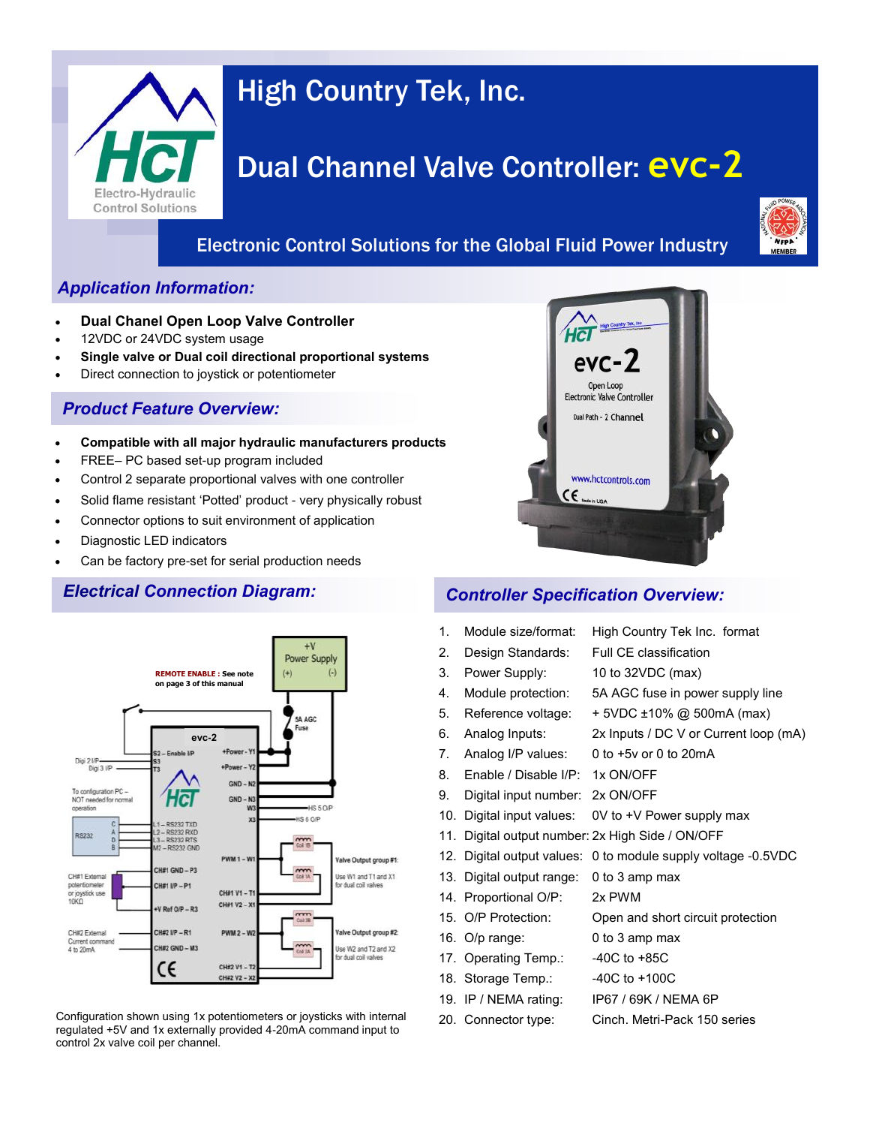

# High Country Tek, Inc.

# Dual Channel Valve Controller: **evc-2**

## Electronic Control Solutions for the Global Fluid Power Industry



## *Application Information:*

- **Dual Chanel Open Loop Valve Controller**
- 12VDC or 24VDC system usage
- **Single valve or Dual coil directional proportional systems**
- Direct connection to joystick or potentiometer

## *Product Feature Overview:*

- **Compatible with all major hydraulic manufacturers products**
- FREE– PC based set-up program included
- Control 2 separate proportional valves with one controller
- Solid flame resistant 'Potted' product very physically robust
- Connector options to suit environment of application
- Diagnostic LED indicators
- Can be factory pre-set for serial production needs



Configuration shown using 1x potentiometers or joysticks with internal regulated +5V and 1x externally provided 4-20mA command input to control 2x valve coil per channel.



## *Electrical Connection Diagram: Controller Specification Overview:*

- 1. Module size/format: High Country Tek Inc. format 2. Design Standards: Full CE classification 3. Power Supply: 10 to 32VDC (max) 4. Module protection: 5A AGC fuse in power supply line 5. Reference voltage:  $+5VDC \pm 10\%$  @ 500mA (max) 6. Analog Inputs: 2x Inputs / DC V or Current loop (mA) 7. Analog I/P values: 0 to +5v or 0 to 20mA 8. Enable / Disable I/P: 1x ON/OFF 9. Digital input number: 2x ON/OFF 10. Digital input values: 0V to +V Power supply max 11. Digital output number: 2x High Side / ON/OFF 12. Digital output values: 0 to module supply voltage -0.5VDC 13. Digital output range: 0 to 3 amp max 14. Proportional O/P: 2x PWM 15. O/P Protection: Open and short circuit protection 16. O/p range: 0 to 3 amp max 17. Operating Temp.: -40C to +85C 18. Storage Temp.: 40C to +100C 19. IP / NEMA rating: IP67 / 69K / NEMA 6P
- 20. Connector type: Cinch. Metri-Pack 150 series